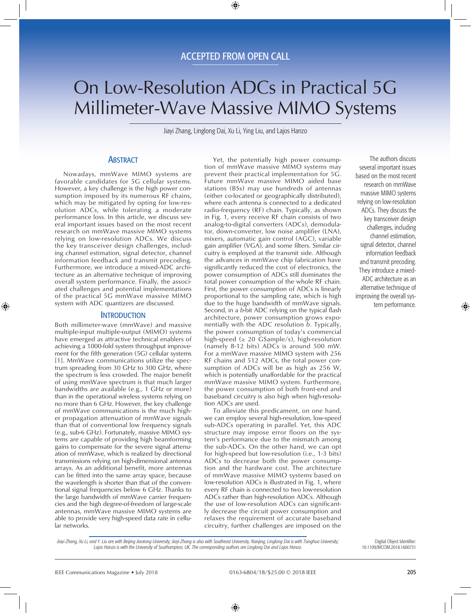# On Low-Resolution ADCs in Practical 5G Millimeter-Wave Massive MIMO Systems

Jiayi Zhang, Linglong Dai, Xu Li, Ying Liu, and Lajos Hanzo

## **ABSTRACT**

Nowadays, mmWave MIMO systems are favorable candidates for 5G cellular systems. However, a key challenge is the high power consumption imposed by its numerous RF chains, which may be mitigated by opting for low-resolution ADCs, while tolerating a moderate performance loss. In this article, we discuss several important issues based on the most recent research on mmWave massive MIMO systems relying on low-resolution ADCs. We discuss the key transceiver design challenges, including channel estimation, signal detector, channel information feedback and transmit precoding. Furthermore, we introduce a mixed-ADC architecture as an alternative technique of improving overall system performance. Finally, the associated challenges and potential implementations of the practical 5G mmWave massive MIMO system with ADC quantizers are discussed.

## **INTRODUCTION**

Both millimeter-wave (mmWave) and massive multiple-input multiple-output (MIMO) systems have emerged as attractive technical enablers of achieving a 1000-fold system throughput improvement for the fifth generation (5G) cellular systems [1]. MmWave communications utilize the spectrum spreading from 30 GHz to 300 GHz, where the spectrum is less crowded. The major benefit of using mmWave spectrum is that much larger bandwidths are available (e.g., 1 GHz or more) than in the operational wireless systems relying on no more than 6 GHz. However, the key challenge of mmWave communications is the much higher propagation attenuation of mmWave signals than that of conventional low frequency signals (e.g., sub-6 GHz). Fortunately, massive MIMO systems are capable of providing high beamforming gains to compensate for the severe signal attenuation of mmWave, which is realized by directional transmissions relying on high-dimensional antenna arrays. As an additional benefit, more antennas can be fitted into the same array space, because the wavelength is shorter than that of the conventional signal frequencies below 6 GHz. Thanks to the large bandwidth of mmWave carrier frequencies and the high degree-of-freedom of large-scale antennas, mmWave massive MIMO systems are able to provide very high-speed data rate in cellular networks.

Yet, the potentially high power consumption of mmWave massive MIMO systems may prevent their practical implementation for 5G. Future mmWave massive MIMO aided base stations (BSs) may use hundreds of antennas (either co-located or geographically distributed), where each antenna is connected to a dedicated radio-frequency (RF) chain. Typically, as shown in Fig. 1, every receive RF chain consists of two analog-to-digital converters (ADCs), demodulator, down-converter, low noise amplifier (LNA), mixers, automatic gain control (AGC), variable gain amplifier (VGA), and some filters. Similar circuitry is employed at the transmit side. Although the advances in mmWave chip fabrication have significantly reduced the cost of electronics, the power consumption of ADCs still dominates the total power consumption of the whole RF chain. First, the power consumption of ADCs is linearly proportional to the sampling rate, which is high due to the huge bandwidth of mmWave signals. Second, in a *b*-bit ADC relying on the typical flash architecture, power consumption grows exponentially with the ADC resolution *b*. Typically, the power consumption of today's commercial high-speed ( $\geq 20$  GSample/s), high-resolution (namely 8-12 bits) ADCs is around 500 mW. For a mmWave massive MIMO system with 256 RF chains and 512 ADCs, the total power consumption of ADCs will be as high as 256 W, which is potentially unaffordable for the practical mmWave massive MIMO system. Furthermore, the power consumption of both front-end and baseband circuitry is also high when high-resolution ADCs are used.

To alleviate this predicament, on one hand, we can employ several high-resolution, low-speed sub-ADCs operating in parallel. Yet, this ADC structure may impose error floors on the system's performance due to the mismatch among the sub-ADCs. On the other hand, we can opt for high-speed but low-resolution (i.e., 1-3 bits) ADCs to decrease both the power consumption and the hardware cost. The architecture of mmWave massive MIMO systems based on low-resolution ADCs is illustrated in Fig. 1, where every RF chain is connected to two low-resolution ADCs rather than high-resolution ADCs. Although the use of low-resolution ADCs can significantly decrease the circuit power consumption and relaxes the requirement of accurate baseband circuitry, further challenges are imposed on the

The authors discuss several important issues based on the most recent research on mmWave massive MIMO systems relying on low-resolution ADCs. They discuss the key transceiver design challenges, including channel estimation, signal detector, channel information feedback and transmit precoding. They introduce a mixed-ADC architecture as an alternative technique of improving the overall system performance.

*Jiayi Zhang, Xu Li, and Y. Liu are with Beijing Jiaotong University; Jiayi Zhang is also with Southeast University, Nanjing; Linglong Dai is with Tsinghua University; Lajos Hanzo is with the University of Southampton, UK. The corresponding authors are Linglong Dai and Lajos Hanzo.*

Digital Object Identifier: 10.1109/MCOM.2018.1600731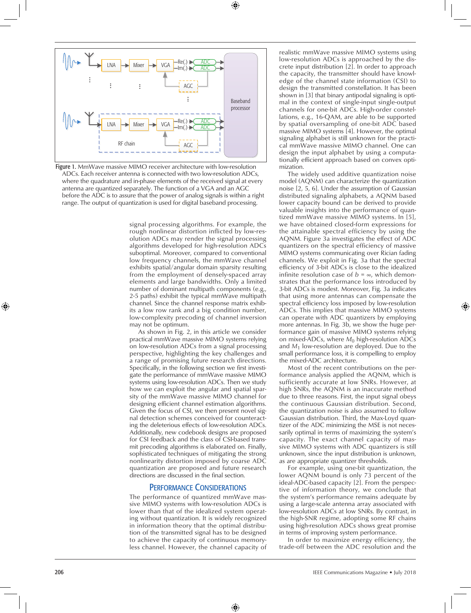

Figure 1. MmWave massive MIMO receiver architecture with low-resolution ADCs. Each receiver antenna is connected with two low-resolution ADCs, where the quadrature and in-phase elements of the received signal at every antenna are quantized separately. The function of a VGA and an AGC before the ADC is to assure that the power of analog signals is within a right range. The output of quantization is used for digital baseband processing.

signal processing algorithms. For example, the rough nonlinear distortion inflicted by low-resolution ADCs may render the signal processing algorithms developed for high-resolution ADCs suboptimal. Moreover, compared to conventional low frequency channels, the mmWave channel exhibits spatial/angular domain sparsity resulting from the employment of densely-spaced array elements and large bandwidths. Only a limited number of dominant multipath components (e.g., 2-5 paths) exhibit the typical mmWave multipath channel. Since the channel response matrix exhibits a low row rank and a big condition number, low-complexity precoding of channel inversion may not be optimum.

As shown in Fig. 2, in this article we consider practical mmWave massive MIMO systems relying on low-resolution ADCs from a signal processing perspective, highlighting the key challenges and a range of promising future research directions. Specifically, in the following section we first investigate the performance of mmWave massive MIMO systems using low-resolution ADCs. Then we study how we can exploit the angular and spatial sparsity of the mmWave massive MIMO channel for designing efficient channel estimation algorithms. Given the focus of CSI, we then present novel signal detection schemes conceived for counteracting the deleterious effects of low-resolution ADCs. Additionally, new codebook designs are proposed for CSI feedback and the class of CSI-based transmit precoding algorithms is elaborated on. Finally, sophisticated techniques of mitigating the strong nonlinearity distortion imposed by coarse ADC quantization are proposed and future research directions are discussed in the final section.

## Performance Considerations

The performance of quantized mmWave massive MIMO systems with low-resolution ADCs is lower than that of the idealized system operating without quantization. It is widely recognized in information theory that the optimal distribution of the transmitted signal has to be designed to achieve the capacity of continuous memoryless channel. However, the channel capacity of realistic mmWave massive MIMO systems using low-resolution ADCs is approached by the discrete input distribution [2]. In order to approach the capacity, the transmitter should have knowledge of the channel state information (CSI) to design the transmitted constellation. It has been shown in [3] that binary antipodal signaling is optimal in the context of single-input single-output channels for one-bit ADCs. High-order constellations, e.g., 16-QAM, are able to be supported by spatial oversampling of one-bit ADC based massive MIMO systems [4]. However, the optimal signaling alphabet is still unknown for the practical mmWave massive MIMO channel. One can design the input alphabet by using a computationally efficient approach based on convex optimization.

The widely used additive quantization noise model (AQNM) can characterize the quantization noise [2, 5, 6]. Under the assumption of Gaussian distributed signaling alphabets, a AQNM based lower capacity bound can be derived to provide valuable insights into the performance of quantized mmWave massive MIMO systems. In [5], we have obtained closed-form expressions for the attainable spectral efficiency by using the AQNM. Figure 3a investigates the effect of ADC quantizers on the spectral efficiency of massive MIMO systems communicating over Rician fading channels. We exploit in Fig. 3a that the spectral efficiency of 3-bit ADCs is close to the idealized infinite resolution case of  $b = \infty$ , which demonstrates that the performance loss introduced by 3-bit ADCs is modest. Moreover, Fig. 3a indicates that using more antennas can compensate the spectral efficiency loss imposed by low-resolution ADCs. This implies that massive MIMO systems can operate with ADC quantizers by employing more antennas. In Fig. 3b, we show the huge performance gain of massive MIMO systems relying on mixed-ADCs, where  $M_0$  high-resolution ADCs and  $M_1$  low-resolution are deployed. Due to the small performance loss, it is compelling to employ the mixed-ADC architecture.

Most of the recent contributions on the performance analysis applied the AQNM, which is sufficiently accurate at low SNRs. However, at high SNRs, the AQNM is an inaccurate method due to three reasons. First, the input signal obeys the continuous Gaussian distribution. Second, the quantization noise is also assumed to follow Gaussian distribution. Third, the Max-Loyd quantizer of the ADC minimizing the MSE is not necessarily optimal in terms of maximizing the system's capacity. The exact channel capacity of massive MIMO systems with ADC quantizers is still unknown, since the input distribution is unknown, as are appropriate quantizer thresholds.

For example, using one-bit quantization, the lower AQNM bound is only 73 percent of the ideal-ADC-based capacity [2]. From the perspective of information theory, we conclude that the system's performance remains adequate by using a large-scale antenna array associated with low-resolution ADCs at low SNRs. By contrast, in the high-SNR regime, adopting some RF chains using high-resolution ADCs shows great promise in terms of improving system performance.

In order to maximize energy efficiency, the trade-off between the ADC resolution and the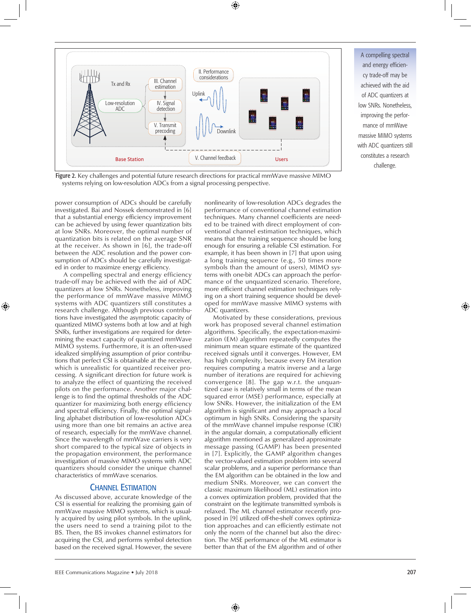

A compelling spectral and energy efficiency trade-off may be achieved with the aid of ADC quantizers at low SNRs. Nonetheless, improving the performance of mmWave massive MIMO systems with ADC quantizers still constitutes a research challenge.

Figure 2. Key challenges and potential future research directions for practical mmWave massive MIMO systems relying on low-resolution ADCs from a signal processing perspective.

power consumption of ADCs should be carefully investigated. Bai and Nossek demonstrated in [6] that a substantial energy efficiency improvement can be achieved by using fewer quantization bits at low SNRs. Moreover, the optimal number of quantization bits is related on the average SNR at the receiver. As shown in [6], the trade-off between the ADC resolution and the power consumption of ADCs should be carefully investigated in order to maximize energy efficiency.

A compelling spectral and energy efficiency trade-off may be achieved with the aid of ADC quantizers at low SNRs. Nonetheless, improving the performance of mmWave massive MIMO systems with ADC quantizers still constitutes a research challenge. Although previous contributions have investigated the asymptotic capacity of quantized MIMO systems both at low and at high SNRs, further investigations are required for determining the exact capacity of quantized mmWave MIMO systems. Furthermore, it is an often-used idealized simplifying assumption of prior contributions that perfect CSI is obtainable at the receiver, which is unrealistic for quantized receiver processing. A significant direction for future work is to analyze the effect of quantizing the received pilots on the performance. Another major challenge is to find the optimal thresholds of the ADC quantizer for maximizing both energy efficiency and spectral efficiency. Finally, the optimal signalling alphabet distribution of low-resolution ADCs using more than one bit remains an active area of research, especially for the mmWave channel. Since the wavelength of mmWave carriers is very short compared to the typical size of objects in the propagation environment, the performance investigation of massive MIMO systems with ADC quantizers should consider the unique channel characteristics of mmWave scenarios.

## Channel Estimation

As discussed above, accurate knowledge of the CSI is essential for realizing the promising gain of mmWave massive MIMO systems, which is usually acquired by using pilot symbols. In the uplink, the users need to send a training pilot to the BS. Then, the BS invokes channel estimators for acquiring the CSI, and performs symbol detection based on the received signal. However, the severe nonlinearity of low-resolution ADCs degrades the performance of conventional channel estimation techniques. Many channel coefficients are needed to be trained with direct employment of conventional channel estimation techniques, which means that the training sequence should be long enough for ensuring a reliable CSI estimation. For example, it has been shown in [7] that upon using a long training sequence (e.g., 50 times more symbols than the amount of users), MIMO systems with one-bit ADCs can approach the performance of the unquantized scenario. Therefore, more efficient channel estimation techniques relying on a short training sequence should be developed for mmWave massive MIMO systems with ADC quantizers.

Motivated by these considerations, previous work has proposed several channel estimation algorithms. Specifically, the expectation-maximization (EM) algorithm repeatedly computes the minimum mean square estimate of the quantized received signals until it converges. However, EM has high complexity, because every EM iteration requires computing a matrix inverse and a large number of iterations are required for achieving convergence [8]. The gap w.r.t. the unquantized case is relatively small in terms of the mean squared error (MSE) performance, especially at low SNRs. However, the initialization of the EM algorithm is significant and may approach a local optimum in high SNRs. Considering the sparsity of the mmWave channel impulse response (CIR) in the angular domain, a computationally efficient algorithm mentioned as generalized approximate message passing (GAMP) has been presented in [7]. Explicitly, the GAMP algorithm changes the vector-valued estimation problem into several scalar problems, and a superior performance than the EM algorithm can be obtained in the low and medium SNRs. Moreover, we can convert the classic maximum likelihood (ML) estimation into a convex optimization problem, provided that the constraint on the legitimate transmitted symbols is relaxed. The ML channel estimator recently proposed in [9] utilized off-the-shelf convex optimization approaches and can efficiently estimate not only the norm of the channel but also the direction. The MSE performance of the ML estimator is better than that of the EM algorithm and of other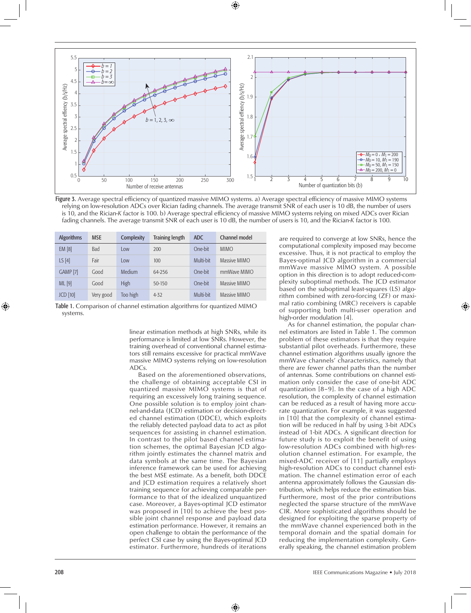

Figure 3. Average spectral efficiency of quantized massive MIMO systems. a) Average spectral efficiency of massive MIMO systems relying on low-resolution ADCs over Rician fading channels. The average transmit SNR of each user is 10 dB, the number of users is 10, and the Rician-*K* factor is 100. b) Average spectral efficiency of massive MIMO systems relying on mixed ADCs over Rician fading channels. The average transmit SNR of each user is 10 dB, the number of users is 10, and the Rician-*K* factor is 100.

| <b>Algorithms</b> | <b>MSE</b> | Complexity  | <b>Training length</b> | <b>ADC</b> | Channel model |
|-------------------|------------|-------------|------------------------|------------|---------------|
| <b>EM [8]</b>     | Bad        | Low         | 200                    | One-bit    | <b>MIMO</b>   |
| LS[4]             | Fair       | Low         | 100                    | Multi-bit  | Massive MIMO  |
| <b>GAMP [7]</b>   | Good       | Medium      | 64-256                 | One-bit    | mmWave MIMO   |
| ML [9]            | Good       | <b>High</b> | 50-150                 | One-bit    | Massive MIMO  |
| JCD[10]           | Very good  | Too high    | $4 - 32$               | Multi-bit  | Massive MIMO  |

Table 1. Comparison of channel estimation algorithms for quantized MIMO systems.

> linear estimation methods at high SNRs, while its performance is limited at low SNRs. However, the training overhead of conventional channel estimators still remains excessive for practical mmWave massive MIMO systems relying on low-resolution ADCs.

> Based on the aforementioned observations, the challenge of obtaining acceptable CSI in quantized massive MIMO systems is that of requiring an excessively long training sequence. One possible solution is to employ joint channel-and-data (JCD) estimation or decision-directed channel estimation (DDCE), which exploits the reliably detected payload data to act as pilot sequences for assisting in channel estimation. In contrast to the pilot based channel estimation schemes, the optimal Bayesian JCD algorithm jointly estimates the channel matrix and data symbols at the same time. The Bayesian inference framework can be used for achieving the best MSE estimate. As a benefit, both DDCE and JCD estimation requires a relatively short training sequence for achieving comparable performance to that of the idealized unquantized case. Moreover, a Bayes-optimal JCD estimator was proposed in [10] to achieve the best possible joint channel response and payload data estimation performance. However, it remains an open challenge to obtain the performance of the perfect CSI case by using the Bayes-optimal JCD estimator. Furthermore, hundreds of iterations

are required to converge at low SNRs, hence the computational complexity imposed may become excessive. Thus, it is not practical to employ the Bayes-optimal JCD algorithm in a commercial mmWave massive MIMO system. A possible option in this direction is to adopt reduced-complexity suboptimal methods. The JCD estimator based on the suboptimal least-squares (LS) algorithm combined with zero-forcing (ZF) or maximal ratio combining (MRC) receivers is capable of supporting both multi-user operation and high-order modulation [4].

As for channel estimation, the popular channel estimators are listed in Table 1. The common problem of these estimators is that they require substantial pilot overheads. Furthermore, these channel estimation algorithms usually ignore the mmWave channels' characteristics, namely that there are fewer channel paths than the number of antennas. Some contributions on channel estimation only consider the case of one-bit ADC quantization [8–9]. In the case of a high ADC resolution, the complexity of channel estimation can be reduced as a result of having more accurate quantization. For example, it was suggested in [10] that the complexity of channel estimation will be reduced in half by using 3-bit ADCs instead of 1-bit ADCs. A significant direction for future study is to exploit the benefit of using low-resolution ADCs combined with high-resolution channel estimation. For example, the mixed-ADC receiver of [11] partially employs high-resolution ADCs to conduct channel estimation. The channel estimation error of each antenna approximately follows the Gaussian distribution, which helps reduce the estimation bias. Furthermore, most of the prior contributions neglected the sparse structure of the mmWave CIR. More sophisticated algorithms should be designed for exploiting the sparse property of the mmWave channel experienced both in the temporal domain and the spatial domain for reducing the implementation complexity. Generally speaking, the channel estimation problem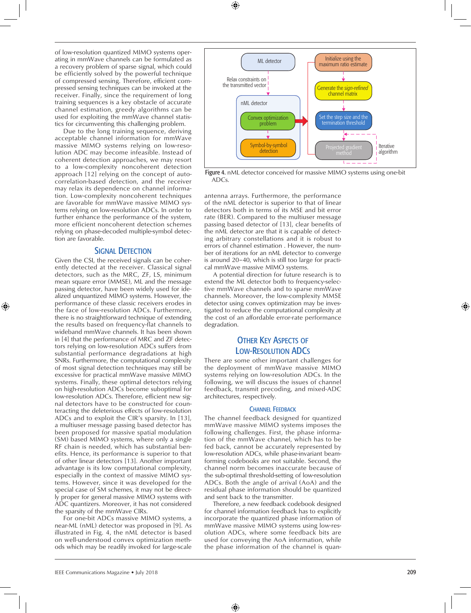of low-resolution quantized MIMO systems operating in mmWave channels can be formulated as a recovery problem of sparse signal, which could be efficiently solved by the powerful technique of compressed sensing. Therefore, efficient compressed sensing techniques can be invoked at the receiver. Finally, since the requirement of long training sequences is a key obstacle of accurate channel estimation, greedy algorithms can be used for exploiting the mmWave channel statistics for circumventing this challenging problem.

Due to the long training sequence, deriving acceptable channel information for mmWave massive MIMO systems relying on low-resolution ADC may become infeasible. Instead of coherent detection approaches, we may resort to a low-complexity noncoherent detection approach [12] relying on the concept of autocorrelation-based detection, and the receiver may relax its dependence on channel information. Low-complexity noncoherent techniques are favorable for mmWave massive MIMO systems relying on low-resolution ADCs. In order to further enhance the performance of the system, more efficient noncoherent detection schemes relying on phase-decoded multiple-symbol detection are favorable.

## SIGNAL DETECTION

Given the CSI, the received signals can be coherently detected at the receiver. Classical signal detectors, such as the MRC, ZF, LS, minimum mean square error (MMSE), ML and the message passing detector, have been widely used for idealized unquantized MIMO systems. However, the performance of these classic receivers erodes in the face of low-resolution ADCs. Furthermore, there is no straightforward technique of extending the results based on frequency-flat channels to wideband mmWave channels. It has been shown in [4] that the performance of MRC and ZF detectors relying on low-resolution ADCs suffers from substantial performance degradations at high SNRs. Furthermore, the computational complexity of most signal detection techniques may still be excessive for practical mmWave massive MIMO systems. Finally, these optimal detectors relying on high-resolution ADCs become suboptimal for low-resolution ADCs. Therefore, efficient new signal detectors have to be constructed for counteracting the deleterious effects of low-resolution ADCs and to exploit the CIR's sparsity. In [13], a multiuser message passing based detector has been proposed for massive spatial modulation (SM) based MIMO systems, where only a single RF chain is needed, which has substantial benefits. Hence, its performance is superior to that of other linear detectors [13]. Another important advantage is its low computational complexity, especially in the context of massive MIMO systems. However, since it was developed for the special case of SM schemes, it may not be directly proper for general massive MIMO systems with ADC quantizers. Moreover, it has not considered the sparsity of the mmWave CIRs.

For one-bit ADCs massive MIMO systems, a near-ML (nML) detector was proposed in [9]. As illustrated in Fig. 4, the nML detector is based on well-understood convex optimization methods which may be readily invoked for large-scale



Figure 4. nML detector conceived for massive MIMO systems using one-bit ADCs.

antenna arrays. Furthermore, the performance of the nML detector is superior to that of linear detectors both in terms of its MSE and bit error rate (BER). Compared to the multiuser message passing based detector of [13], clear benefits of the nML detector are that it is capable of detecting arbitrary constellations and it is robust to errors of channel estimation . However, the number of iterations for an nML detector to converge is around 20–40, which is still too large for practical mmWave massive MIMO systems.

A potential direction for future research is to extend the ML detector both to frequency-selective mmWave channels and to sparse mmWave channels. Moreover, the low-complexity MMSE detector using convex optimization may be investigated to reduce the computational complexity at the cost of an affordable error-rate performance degradation.

## **OTHER KEY ASPECTS OF** Low-Resolution ADCs

There are some other important challenges for the deployment of mmWave massive MIMO systems relying on low-resolution ADCs. In the following, we will discuss the issues of channel feedback, transmit precoding, and mixed-ADC architectures, respectively.

#### **CHANNEL FEEDBACK**

The channel feedback designed for quantized mmWave massive MIMO systems imposes the following challenges. First, the phase information of the mmWave channel, which has to be fed back, cannot be accurately represented by low-resolution ADCs, while phase-invariant beamforming codebooks are not suitable. Second, the channel norm becomes inaccurate because of the sub-optimal threshold-setting of low-resolution ADCs. Both the angle of arrival (AoA) and the residual phase information should be quantized and sent back to the transmitter.

Therefore, a new feedback codebook designed for channel information feedback has to explicitly incorporate the quantized phase information of mmWave massive MIMO systems using low-resolution ADCs, where some feedback bits are used for conveying the AoA information, while the phase information of the channel is quan-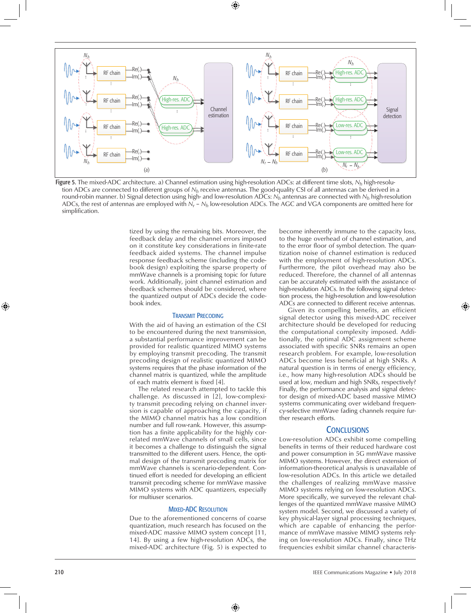

Figure 5. The mixed-ADC architecture. a) Channel estimation using high-resolution ADCs: at different time slots, *Nh* high-resolution ADCs are connected to different groups of *Nh* receive antennas. The good-quality CSI of all antennas can be derived in a round-robin manner. b) Signal detection using high- and low-resolution ADCs: *Nh* antennas are connected with *Nh* high-resolution ADCs, the rest of antennas are employed with *Nr* – *Nh* low-resolution ADCs. The AGC and VGA components are omitted here for simplification.

tized by using the remaining bits. Moreover, the feedback delay and the channel errors imposed on it constitute key considerations in finite-rate feedback aided systems. The channel impulse response feedback scheme (including the codebook design) exploiting the sparse property of mmWave channels is a promising topic for future work. Additionally, joint channel estimation and feedback schemes should be considered, where the quantized output of ADCs decide the codebook index.

#### Transmit Precoding

With the aid of having an estimation of the CSI to be encountered during the next transmission, a substantial performance improvement can be provided for realistic quantized MIMO systems by employing transmit precoding. The transmit precoding design of realistic quantized MIMO systems requires that the phase information of the channel matrix is quantized, while the amplitude of each matrix element is fixed [4].

The related research attempted to tackle this challenge. As discussed in [2], low-complexity transmit precoding relying on channel inversion is capable of approaching the capacity, if the MIMO channel matrix has a low condition number and full row-rank. However, this assumption has a finite applicability for the highly correlated mmWave channels of small cells, since it becomes a challenge to distinguish the signal transmitted to the different users. Hence, the optimal design of the transmit precoding matrix for mmWave channels is scenario-dependent. Continued effort is needed for developing an efficient transmit precoding scheme for mmWave massive MIMO systems with ADC quantizers, especially for multiuser scenarios.

#### **MIXED-ADC RESOLUTION**

Due to the aforementioned concerns of coarse quantization, much research has focused on the mixed-ADC massive MIMO system concept [11, 14]. By using a few high-resolution ADCs, the mixed-ADC architecture (Fig. 5) is expected to

become inherently immune to the capacity loss, to the huge overhead of channel estimation, and to the error floor of symbol detection. The quantization noise of channel estimation is reduced with the employment of high-resolution ADCs. Furthermore, the pilot overhead may also be reduced. Therefore, the channel of all antennas can be accurately estimated with the assistance of high-resolution ADCs. In the following signal detection process, the high-resolution and low-resolution ADCs are connected to different receive antennas.

Given its compelling benefits, an efficient signal detector using this mixed-ADC receiver architecture should be developed for reducing the computational complexity imposed. Additionally, the optimal ADC assignment scheme associated with specific SNRs remains an open research problem. For example, low-resolution ADCs become less beneficial at high SNRs. A natural question is in terms of energy efficiency, i.e., how many high-resolution ADCs should be used at low, medium and high SNRs, respectively? Finally, the performance analysis and signal detector design of mixed-ADC based massive MIMO systems communicating over wideband frequency-selective mmWave fading channels require further research efforts.

### **CONCLUSIONS**

Low-resolution ADCs exhibit some compelling benefits in terms of their reduced hardware cost and power consumption in 5G mmWave massive MIMO systems. However, the direct extension of information-theoretical analysis is unavailable of low-resolution ADCs. In this article we detailed the challenges of realizing mmWave massive MIMO systems relying on low-resolution ADCs. More specifically, we surveyed the relevant challenges of the quantized mmWave massive MIMO system model. Second, we discussed a variety of key physical-layer signal processing techniques, which are capable of enhancing the performance of mmWave massive MIMO systems relying on low-resolution ADCs. Finally, since THz frequencies exhibit similar channel characteris